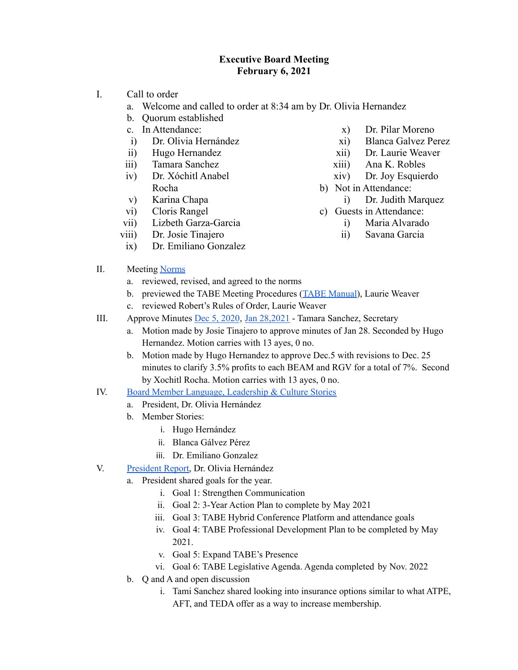## **Executive Board Meeting February 6, 2021**

- I. Call to order
	- a. Welcome and called to order at 8:34 am by Dr. Olivia Hernandez
	- b. Quorum established
	- c. In Attendance:
	- i) Dr. Olivia Hernández
	- ii) Hugo Hernandez
	- iii) Tamara Sanchez
	- iv) Dr. Xóchitl Anabel Rocha
	- v) Karina Chapa
	- vi) Cloris Rangel
	- vii) Lizbeth Garza-Garcia
	- viii) Dr. Josie Tinajero
	- ix) Dr. Emiliano Gonzalez
- x) Dr. Pilar Moreno
- xi) Blanca Galvez Perez
- xii) Dr. Laurie Weaver
- xiii) Ana K. Robles
- xiv) Dr. Joy Esquierdo
- b) Not in Attendance:
	- i) Dr. Judith Marquez
- c) Guests in Attendance:
	- i) Maria Alvarado
	- ii) Savana Garcia

- II. Meeting [Norms](https://docs.google.com/presentation/d/1xK3yGQLnTBXlPCyLdYxUT5Yg7k8vnvkKXoutiW29_8Q/edit?usp=sharing)
	- a. reviewed, revised, and agreed to the norms
	- b. previewed the TABE Meeting Procedures (TABE [Manual](https://drive.google.com/file/d/1Yg5YipkSkBCXfRqRQ-lLcqf_fK9rG63t/view?usp=sharing)), Laurie Weaver
	- c. reviewed Robert's Rules of Order, Laurie Weaver
- III. Approve Minutes Dec 5, [2020](https://docs.google.com/document/d/1iJebXdxooLq4icXE1ZwTOX1Wk3OFIgH42NLyuqkWqfY/edit?usp=sharing), Jan [28,2021](https://docs.google.com/document/d/108UYIJnV0JcQXQhens5Xej7bj_aX_-l_gvcZf4jLsMc/edit?usp=sharing) Tamara Sanchez, Secretary
	- a. Motion made by Josie Tinajero to approve minutes of Jan 28. Seconded by Hugo Hernandez. Motion carries with 13 ayes, 0 no.
	- b. Motion made by Hugo Hernandez to approve Dec.5 with revisions to Dec. 25 minutes to clarify 3.5% profits to each BEAM and RGV for a total of 7%. Second by Xochitl Rocha. Motion carries with 13 ayes, 0 no.
- IV. Board Member Language, [Leadership](https://docs.google.com/presentation/d/1tbhu4Pyzi_oCld2X6km-mNh5IuwHCe1rhhYjns5s5R8/edit?usp=sharing) & Culture Stories
	- a. President, Dr. Olivia Hernández
	- b. Member Stories:
		- i. Hugo Hernández
		- ii. Blanca Gálvez Pérez
		- iii. Dr. Emiliano Gonzalez
- V. [President](https://docs.google.com/document/d/16ok98Qr37bnZJhGQRlxFUpNVEI_7hNEy4AWLgYuBAZc/edit?usp=sharing) Report, Dr. Olivia Hernández
	- a. President shared goals for the year.
		- i. Goal 1: Strengthen Communication
		- ii. Goal 2: 3-Year Action Plan to complete by May 2021
		- iii. Goal 3: TABE Hybrid Conference Platform and attendance goals
		- iv. Goal 4: TABE Professional Development Plan to be completed by May 2021.
		- v. Goal 5: Expand TABE's Presence
		- vi. Goal 6: TABE Legislative Agenda. Agenda completed by Nov. 2022
	- b. Q and A and open discussion
		- i. Tami Sanchez shared looking into insurance options similar to what ATPE, AFT, and TEDA offer as a way to increase membership.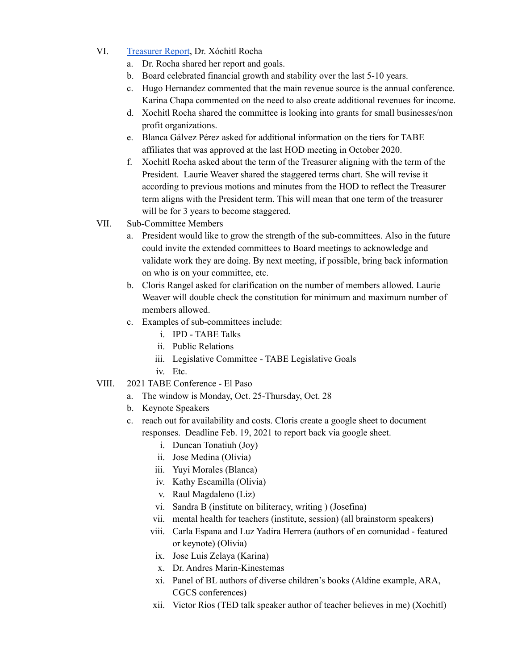- VI. [Treasurer](https://docs.google.com/document/d/1BX1I19u6LC7GWi8RcGlvZ-oFR1iWjG1Z2Bn4JKhPVB8/edit?usp=sharing) Report, Dr. Xóchitl Rocha
	- a. Dr. Rocha shared her report and goals.
	- b. Board celebrated financial growth and stability over the last 5-10 years.
	- c. Hugo Hernandez commented that the main revenue source is the annual conference. Karina Chapa commented on the need to also create additional revenues for income.
	- d. Xochitl Rocha shared the committee is looking into grants for small businesses/non profit organizations.
	- e. Blanca Gálvez Pérez asked for additional information on the tiers for TABE affiliates that was approved at the last HOD meeting in October 2020.
	- f. Xochitl Rocha asked about the term of the Treasurer aligning with the term of the President. Laurie Weaver shared the staggered terms chart. She will revise it according to previous motions and minutes from the HOD to reflect the Treasurer term aligns with the President term. This will mean that one term of the treasurer will be for 3 years to become staggered.
- VII. Sub-Committee Members
	- a. President would like to grow the strength of the sub-committees. Also in the future could invite the extended committees to Board meetings to acknowledge and validate work they are doing. By next meeting, if possible, bring back information on who is on your committee, etc.
	- b. Cloris Rangel asked for clarification on the number of members allowed. Laurie Weaver will double check the constitution for minimum and maximum number of members allowed.
	- c. Examples of sub-committees include:
		- i. IPD TABE Talks
		- ii. Public Relations
		- iii. Legislative Committee TABE Legislative Goals
		- iv. Etc.
- VIII. 2021 TABE Conference El Paso
	- a. The window is Monday, Oct. 25-Thursday, Oct. 28
	- b. Keynote Speakers
	- c. reach out for availability and costs. Cloris create a google sheet to document responses. Deadline Feb. 19, 2021 to report back via google sheet.
		- i. Duncan Tonatiuh (Joy)
		- ii. Jose Medina (Olivia)
		- iii. Yuyi Morales (Blanca)
		- iv. Kathy Escamilla (Olivia)
		- v. Raul Magdaleno (Liz)
		- vi. Sandra B (institute on biliteracy, writing ) (Josefina)
		- vii. mental health for teachers (institute, session) (all brainstorm speakers)
		- viii. Carla Espana and Luz Yadira Herrera (authors of en comunidad featured or keynote) (Olivia)
		- ix. Jose Luis Zelaya (Karina)
		- x. Dr. Andres Marin-Kinestemas
		- xi. Panel of BL authors of diverse children's books (Aldine example, ARA, CGCS conferences)
		- xii. Victor Rios (TED talk speaker author of teacher believes in me) (Xochitl)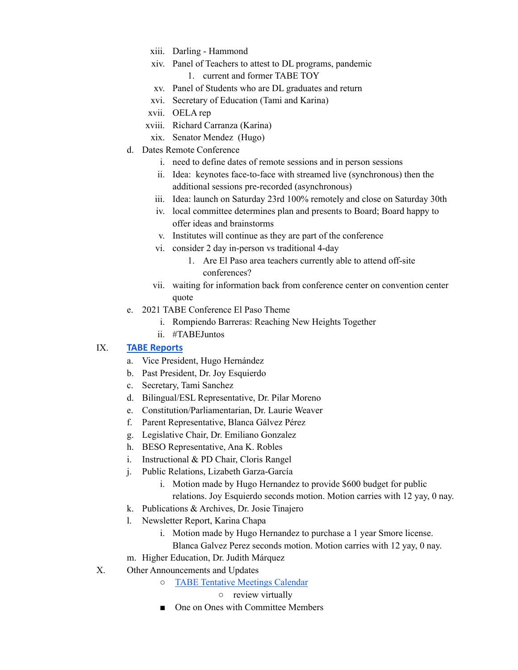- xiii. Darling Hammond
- xiv. Panel of Teachers to attest to DL programs, pandemic
	- 1. current and former TABE TOY
- xv. Panel of Students who are DL graduates and return
- xvi. Secretary of Education (Tami and Karina)
- xvii. OELA rep
- xviii. Richard Carranza (Karina)
- xix. Senator Mendez (Hugo)
- d. Dates Remote Conference
	- i. need to define dates of remote sessions and in person sessions
	- ii. Idea: keynotes face-to-face with streamed live (synchronous) then the additional sessions pre-recorded (asynchronous)
	- iii. Idea: launch on Saturday 23rd 100% remotely and close on Saturday 30th
	- iv. local committee determines plan and presents to Board; Board happy to offer ideas and brainstorms
	- v. Institutes will continue as they are part of the conference
	- vi. consider 2 day in-person vs traditional 4-day
		- 1. Are El Paso area teachers currently able to attend off-site conferences?
	- vii. waiting for information back from conference center on convention center quote
- e. 2021 TABE Conference El Paso Theme
	- i. Rompiendo Barreras: Reaching New Heights Together
	- ii. #TABEJuntos

## IX. **[TABE Reports](https://drive.google.com/drive/folders/1PdlDahEWoASnUcJCGkVxMGAwwQxIoFG0?usp=sharing)**

- a. Vice President, Hugo Hernández
- b. Past President, Dr. Joy Esquierdo
- c. Secretary, Tami Sanchez
- d. Bilingual/ESL Representative, Dr. Pilar Moreno
- e. Constitution/Parliamentarian, Dr. Laurie Weaver
- f. Parent Representative, Blanca Gálvez Pérez
- g. Legislative Chair, Dr. Emiliano Gonzalez
- h. BESO Representative, Ana K. Robles
- i. Instructional & PD Chair, Cloris Rangel
- j. Public Relations, Lizabeth Garza-García
	- i. Motion made by Hugo Hernandez to provide \$600 budget for public relations. Joy Esquierdo seconds motion. Motion carries with 12 yay, 0 nay.
- k. Publications & Archives, Dr. Josie Tinajero
- l. Newsletter Report, Karina Chapa
	- i. Motion made by Hugo Hernandez to purchase a 1 year Smore license.

Blanca Galvez Perez seconds motion. Motion carries with 12 yay, 0 nay.

- m. Higher Education, Dr. Judith Márquez
- X. Other Announcements and Updates
	- TABE Tentative [Meetings](https://docs.google.com/spreadsheets/d/1SyFUTNg_bMV3kwVrjEIbTfLThh-ZIsvJ290jF2U_uH8/edit?usp=sharing) Calendar

## ○ review virtually

■ One on Ones with Committee Members